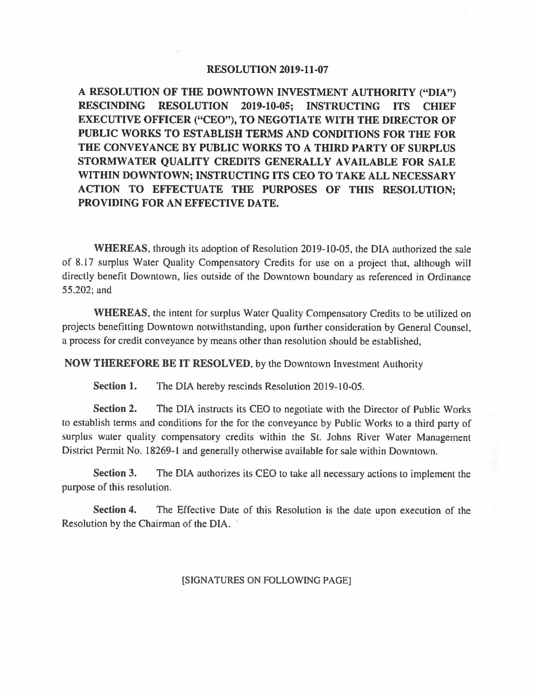## **RESOLUTION 2019-11-07**

**A RESOLUTION OF THE DOWNTOWN INVESTMENT AUTHORITY ("DIA") RESCINDING RESOLUTION 2019-10-05; INSTRUCTING ITS CHIEF EXECUTIVE OFFICER ("CEO"), TO NEGOTIATE WITH THE DIRECTOR OF PUBLIC WORKS TO ESTABLISH TERMS AND CONDITIONS FOR THE FOR THE CONVEYANCE BY PUBLIC WORKS TO A THIRD PARTY OF SURPLUS STORMWATER QUALITY CREDITS GENERALLY AVAILABLE FOR SALE WITHIN DOWNTOWN; INSTRUCTING ITS CEO TO TAKE ALL NECESSARY ACTION TO EFFECTUATE THE PURPOSES OF THIS RESOLUTION; PROVIDING FOR AN EFFECTIVE DATE.** 

**WHEREAS,** through its adoption of Resolution 2019-10-05, the DIA authorized the sale of 8.17 surplus Water Quality Compensatory Credits for use on a project that, although will directly benefit Downtown, lies outside of the Downtown boundary as referenced in Ordinance 55.202; and

**WHEREAS,** the intent for surplus Water Quality Compensatory Credits to be utilized on projects benefitting Downtown notwithstanding, upon further consideration by General Counsel, a process for credit conveyance by means other than resolution should be established,

**NOW THEREFORE BE IT RESOLVED,** by the Downtown Investment Authority

**Section 1.** The DIA hereby rescinds Resolution 2019-10-05.

**Section 2.** The DIA instructs its CEO to negotiate with the Director of Public Works to establish terms and conditions for the for the conveyance by Public Works to a third party of surplus water quality compensatory credits within the St. Johns River Water Management District Permit No. 18269-1 and generally otherwise available for sale within Downtown.

**Section 3.** The DIA authorizes its CEO to take all necessary actions to implement the purpose of this resolution.

**Section 4.** The Effective Date of this Resolution is the date upon execution of the Resolution by the Chairman of the DIA.

{SIGNATURES ON FOLLOWING PAGE]